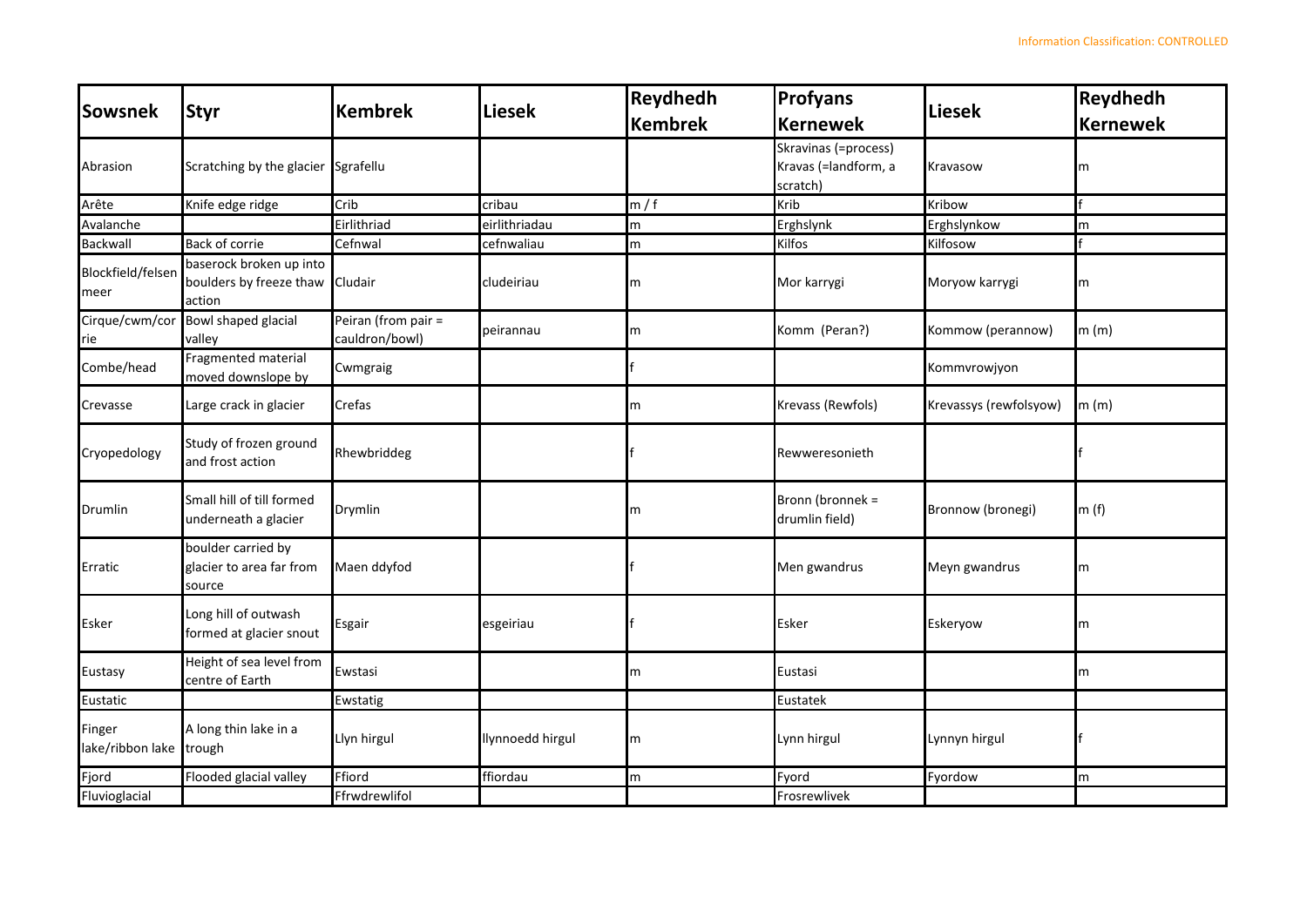| Sowsnek                    | <b>Styr</b>                                                  | <b>Kembrek</b>                        | <b>Liesek</b>    | <b>Reydhedh</b> | <b>Profyans</b>                                          | <b>Liesek</b>          | Reydhedh        |
|----------------------------|--------------------------------------------------------------|---------------------------------------|------------------|-----------------|----------------------------------------------------------|------------------------|-----------------|
|                            |                                                              |                                       |                  | <b>Kembrek</b>  | <b>Kernewek</b>                                          |                        | <b>Kernewek</b> |
| Abrasion                   | Scratching by the glacier                                    | Sgrafellu                             |                  |                 | Skravinas (=process)<br>Kravas (=landform, a<br>scratch) | Kravasow               | m               |
| Arête                      | Knife edge ridge                                             | Crib                                  | cribau           | m/f             | Krib                                                     | Kribow                 |                 |
| Avalanche                  |                                                              | Eirlithriad                           | eirlithriadau    | ${\sf m}$       | Erghslynk                                                | Erghslynkow            | m               |
| <b>Backwall</b>            | Back of corrie                                               | Cefnwal                               | cefnwaliau       | m               | Kilfos                                                   | Kilfosow               |                 |
| Blockfield/felsen<br>meer  | baserock broken up into<br>boulders by freeze thaw<br>action | Cludair                               | cludeiriau       | m               | Mor karrygi                                              | Moryow karrygi         | m               |
| Cirque/cwm/cor<br>rie      | <b>Bowl shaped glacial</b><br>valley                         | Peiran (from pair =<br>cauldron/bowl) | peirannau        | m               | Komm (Peran?)                                            | Kommow (perannow)      | m(m)            |
| Combe/head                 | Fragmented material<br>moved downslope by                    | Cwmgraig                              |                  |                 |                                                          | Kommvrowjyon           |                 |
| Crevasse                   | Large crack in glacier                                       | Crefas                                |                  | m               | Krevass (Rewfols)                                        | Krevassys (rewfolsyow) | m(m)            |
| Cryopedology               | Study of frozen ground<br>and frost action                   | Rhewbriddeg                           |                  |                 | Rewweresonieth                                           |                        |                 |
| Drumlin                    | Small hill of till formed<br>underneath a glacier            | Drymlin                               |                  | m               | Bronn (bronnek =<br>drumlin field)                       | Bronnow (bronegi)      | m(f)            |
| Erratic                    | boulder carried by<br>glacier to area far from<br>source     | Maen ddyfod                           |                  |                 | Men gwandrus                                             | Meyn gwandrus          | m               |
| Esker                      | Long hill of outwash<br>formed at glacier snout              | Esgair                                | esgeiriau        |                 | Esker                                                    | Eskeryow               | m               |
| Eustasy                    | Height of sea level from<br>centre of Earth                  | Ewstasi                               |                  | m               | Eustasi                                                  |                        | m               |
| Eustatic                   |                                                              | Ewstatig                              |                  |                 | Eustatek                                                 |                        |                 |
| Finger<br>lake/ribbon lake | A long thin lake in a<br>trough                              | Llyn hirgul                           | llynnoedd hirgul | m               | Lynn hirgul                                              | Lynnyn hirgul          |                 |
| Fjord                      | Flooded glacial valley                                       | Ffiord                                | ffiordau         | m               | Fyord                                                    | Fyordow                | m               |
| Fluvioglacial              |                                                              | Ffrwdrewlifol                         |                  |                 | Frosrewlivek                                             |                        |                 |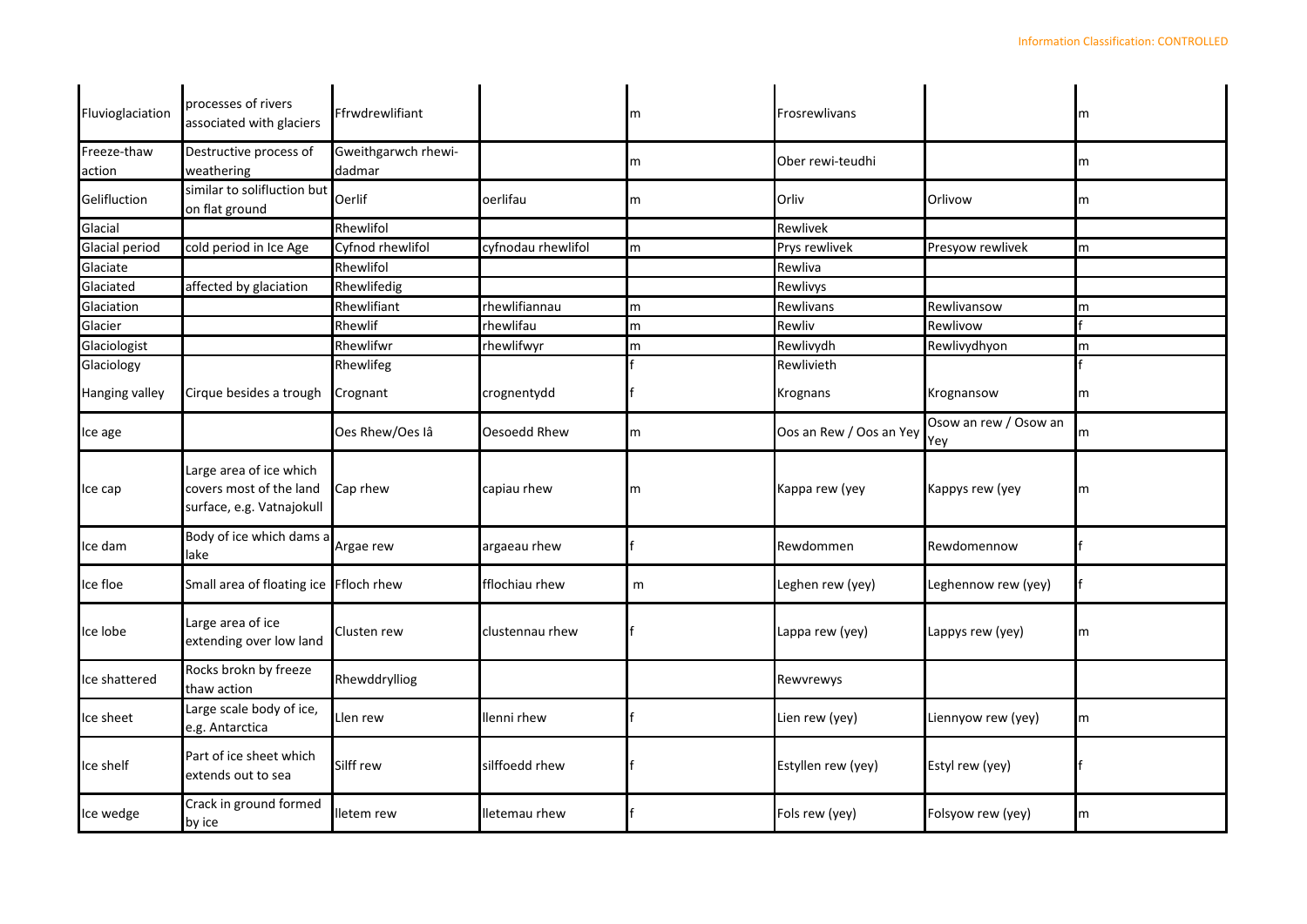| Fluvioglaciation      | processes of rivers<br>associated with glaciers                                 | Ffrwdrewlifiant               |                    | m | Frosrewlivans           |                              | m |
|-----------------------|---------------------------------------------------------------------------------|-------------------------------|--------------------|---|-------------------------|------------------------------|---|
| Freeze-thaw<br>action | Destructive process of<br>weathering                                            | Gweithgarwch rhewi-<br>dadmar |                    | m | Ober rewi-teudhi        |                              | m |
| Gelifluction          | similar to solifluction but<br>on flat ground                                   | Oerlif                        | oerlifau           | m | Orliv                   | Orlivow                      | m |
| Glacial               |                                                                                 | Rhewlifol                     |                    |   | Rewlivek                |                              |   |
| Glacial period        | cold period in Ice Age                                                          | Cyfnod rhewlifol              | cyfnodau rhewlifol | m | Prys rewlivek           | Presyow rewlivek             | m |
| Glaciate              |                                                                                 | Rhewlifol                     |                    |   | Rewliva                 |                              |   |
| Glaciated             | affected by glaciation                                                          | Rhewlifedig                   |                    |   | Rewlivys                |                              |   |
| Glaciation            |                                                                                 | Rhewlifiant                   | rhewlifiannau      | m | Rewlivans               | Rewlivansow                  | m |
| Glacier               |                                                                                 | Rhewlif                       | rhewlifau          | m | Rewliv                  | Rewlivow                     |   |
| Glaciologist          |                                                                                 | Rhewlifwr                     | rhewlifwyr         | m | Rewlivydh               | Rewlivydhyon                 | m |
| Glaciology            |                                                                                 | Rhewlifeg                     |                    |   | Rewlivieth              |                              |   |
| Hanging valley        | Cirque besides a trough                                                         | Crognant                      | crognentydd        |   | <b>Krognans</b>         | Krognansow                   | m |
| Ice age               |                                                                                 | Oes Rhew/Oes lâ               | Oesoedd Rhew       | m | Oos an Rew / Oos an Yey | Osow an rew / Osow an<br>Yey | m |
| Ice cap               | Large area of ice which<br>covers most of the land<br>surface, e.g. Vatnajokull | Cap rhew                      | capiau rhew        | m | Kappa rew (yey          | Kappys rew (yey              | m |
| Ice dam               | Body of ice which dams a<br>lake                                                | Argae rew                     | argaeau rhew       |   | Rewdommen               | Rewdomennow                  |   |
| Ice floe              | Small area of floating ice                                                      | Ffloch rhew                   | fflochiau rhew     | m | Leghen rew (yey)        | Leghennow rew (yey)          |   |
| Ice lobe              | Large area of ice<br>extending over low land                                    | Clusten rew                   | clustennau rhew    |   | Lappa rew (yey)         | Lappys rew (yey)             | m |
| Ice shattered         | Rocks brokn by freeze<br>thaw action                                            | Rhewddrylliog                 |                    |   | Rewvrewys               |                              |   |
| Ice sheet             | Large scale body of ice,<br>e.g. Antarctica                                     | Llen rew                      | llenni rhew        |   | Lien rew (yey)          | Liennyow rew (yey)           | m |
| Ice shelf             | Part of ice sheet which<br>extends out to sea                                   | Silff rew                     | silffoedd rhew     |   | Estyllen rew (yey)      | Estyl rew (yey)              |   |
| Ice wedge             | Crack in ground formed<br>by ice                                                | lletem rew                    | lletemau rhew      |   | Fols rew (yey)          | Folsyow rew (yey)            | m |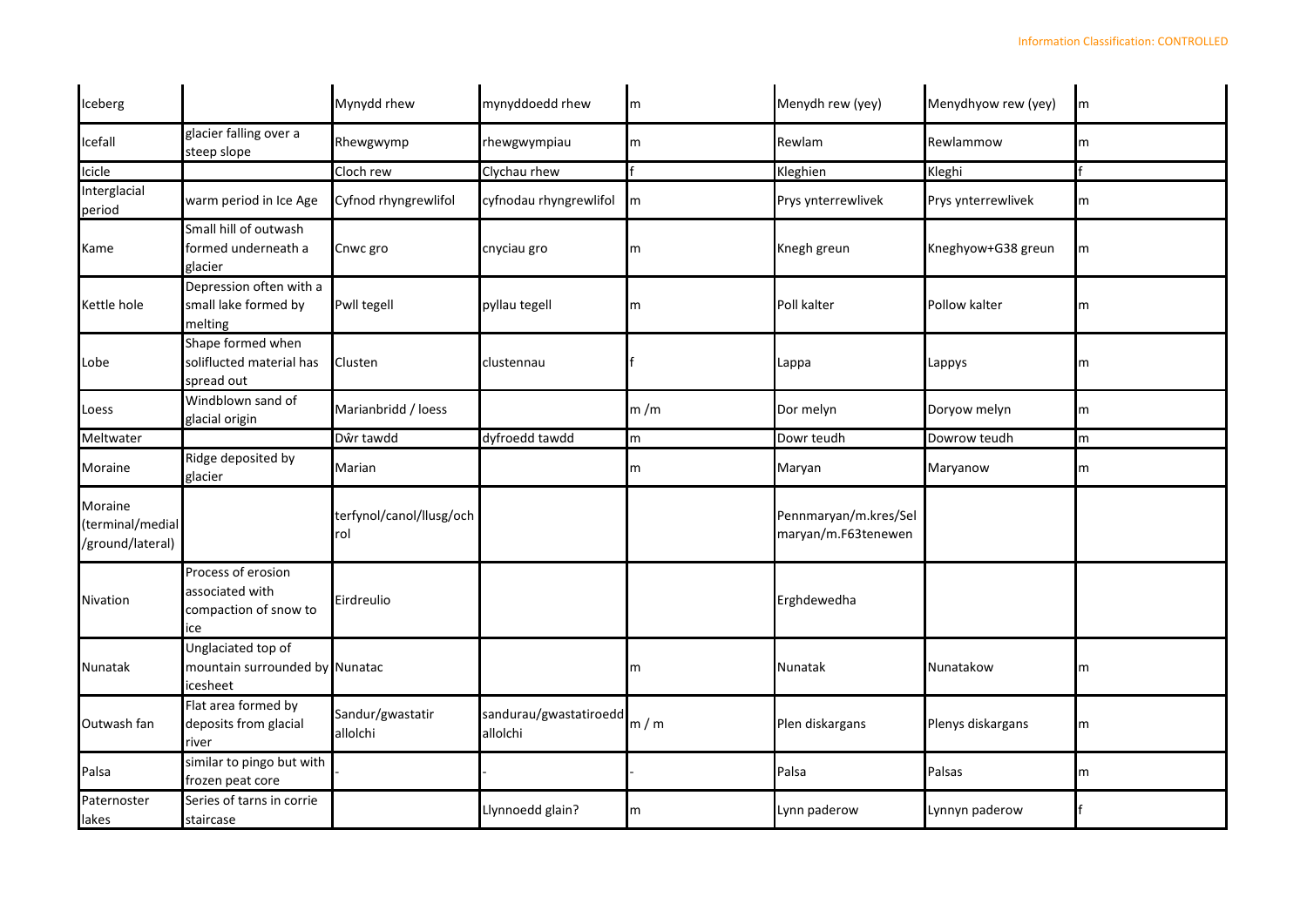| Iceberg                                         |                                                                      | Mynydd rhew                     | mynyddoedd rhew                    | m   | Menydh rew (yey)                             | Menydhyow rew (yey) | m |
|-------------------------------------------------|----------------------------------------------------------------------|---------------------------------|------------------------------------|-----|----------------------------------------------|---------------------|---|
| Icefall                                         | glacier falling over a<br>steep slope                                | Rhewgwymp                       | rhewgwympiau                       | m   | Rewlam                                       | Rewlammow           | m |
| Icicle                                          |                                                                      | Cloch rew                       | Clychau rhew                       |     | Kleghien                                     | Kleghi              |   |
| Interglacial<br>period                          | warm period in Ice Age                                               | Cyfnod rhyngrewlifol            | cyfnodau rhyngrewlifol             | Im  | Prys ynterrewlivek                           | Prys ynterrewlivek  | m |
| Kame                                            | Small hill of outwash<br>ormed underneath a<br>glacier               | Cnwc gro                        | cnyciau gro                        | m   | Knegh greun                                  | Kneghyow+G38 greun  | m |
| Kettle hole                                     | Depression often with a<br>small lake formed by<br>melting           | Pwll tegell                     | pyllau tegell                      | m   | Poll kalter                                  | Pollow kalter       | m |
| Lobe                                            | Shape formed when<br>soliflucted material has<br>spread out          | Clusten                         | clustennau                         |     | Lappa                                        | Lappys              | m |
| Loess                                           | Windblown sand of<br>glacial origin                                  | Marianbridd / loess             |                                    | m/m | Dor melyn                                    | Doryow melyn        | m |
| Meltwater                                       |                                                                      | Dŵr tawdd                       | dyfroedd tawdd                     | m   | Dowr teudh                                   | Dowrow teudh        | m |
| Moraine                                         | Ridge deposited by<br>glacier                                        | Marian                          |                                    | m   | Maryan                                       | Maryanow            | m |
| Moraine<br>(terminal/medial<br>/ground/lateral) |                                                                      | terfynol/canol/llusg/och<br>rol |                                    |     | Pennmaryan/m.kres/Sel<br>maryan/m.F63tenewen |                     |   |
| Nivation                                        | Process of erosion<br>associated with<br>compaction of snow to<br>ce | Eirdreulio                      |                                    |     | Erghdewedha                                  |                     |   |
| Nunatak                                         | Unglaciated top of<br>mountain surrounded by Nunatac<br>cesheet      |                                 |                                    | m   | Nunatak                                      | Nunatakow           | m |
| Outwash fan                                     | Flat area formed by<br>deposits from glacial<br>river                | Sandur/gwastatir<br>allolchi    | sandurau/gwastatiroedd<br>allolchi | m/m | Plen diskargans                              | Plenys diskargans   | m |
| Palsa                                           | similar to pingo but with<br>frozen peat core                        |                                 |                                    |     | Palsa                                        | Palsas              | m |
| Paternoster<br>lakes                            | Series of tarns in corrie<br>staircase                               |                                 | Llynnoedd glain?                   | m   | Lynn paderow                                 | Lynnyn paderow      |   |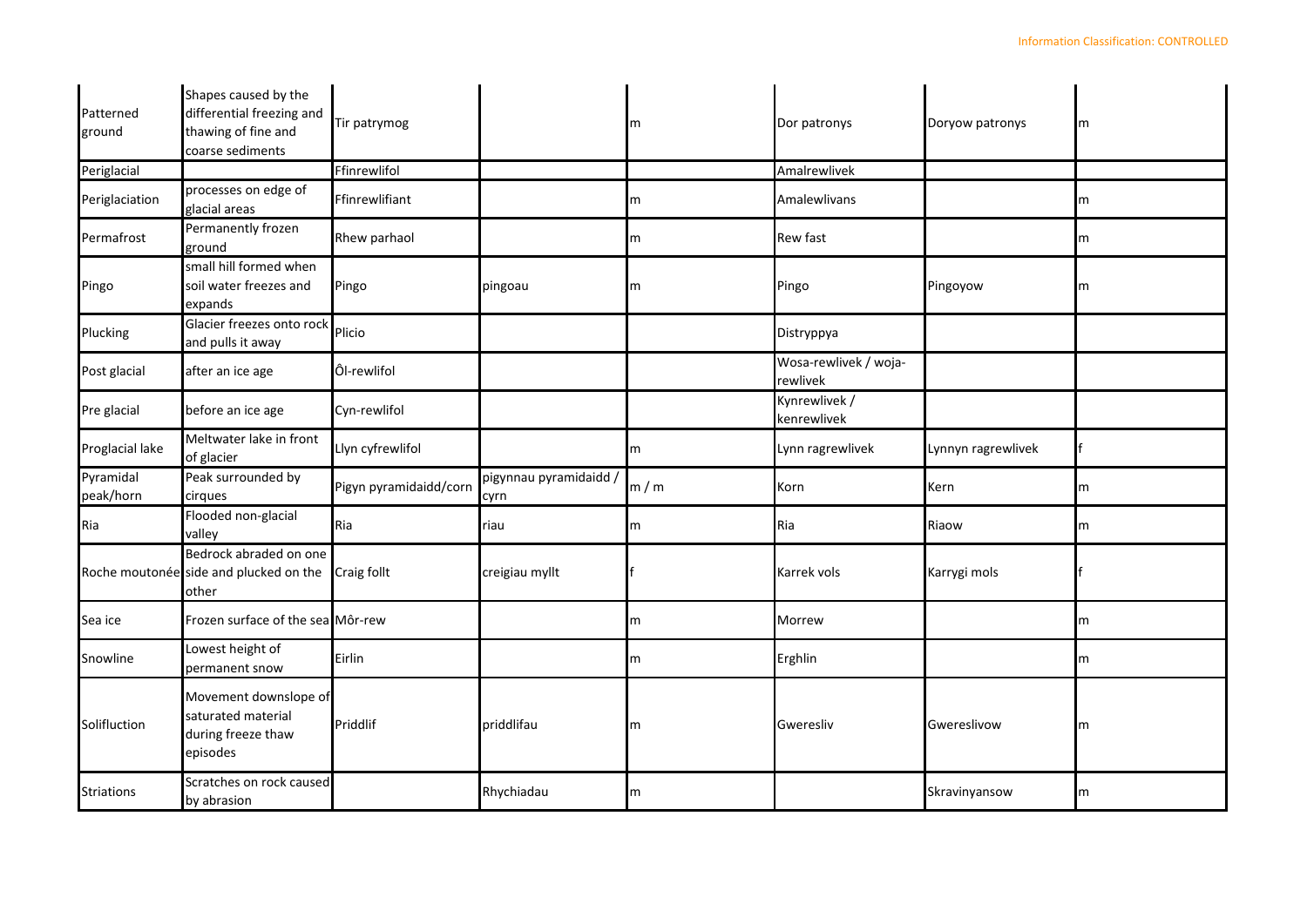| Patterned<br>ground    | Shapes caused by the<br>differential freezing and<br>thawing of fine and<br>coarse sediments | Tir patrymog           |                                | m   | Dor patronys                      | Doryow patronys    | m |
|------------------------|----------------------------------------------------------------------------------------------|------------------------|--------------------------------|-----|-----------------------------------|--------------------|---|
| Periglacial            |                                                                                              | Ffinrewlifol           |                                |     | Amalrewlivek                      |                    |   |
| Periglaciation         | processes on edge of<br>glacial areas                                                        | Ffinrewlifiant         |                                | m   | Amalewlivans                      |                    | m |
| Permafrost             | Permanently frozen<br>ground                                                                 | Rhew parhaol           |                                | m   | <b>Rew fast</b>                   |                    | m |
| Pingo                  | small hill formed when<br>soil water freezes and<br>expands                                  | Pingo                  | pingoau                        | m   | Pingo                             | Pingoyow           | m |
| Plucking               | Glacier freezes onto rock<br>Plicio<br>and pulls it away                                     |                        |                                |     | Distryppya                        |                    |   |
| Post glacial           | after an ice age                                                                             | Ôl-rewlifol            |                                |     | Wosa-rewlivek / woja-<br>rewlivek |                    |   |
| Pre glacial            | before an ice age                                                                            | Cyn-rewlifol           |                                |     | Kynrewlivek /<br>kenrewlivek      |                    |   |
| Proglacial lake        | Meltwater lake in front<br>of glacier                                                        | Llyn cyfrewlifol       |                                | m   | Lynn ragrewlivek                  | Lynnyn ragrewlivek |   |
| Pyramidal<br>peak/horn | Peak surrounded by<br>cirques                                                                | Pigyn pyramidaidd/corn | pigynnau pyramidaidd /<br>cyrn | m/m | Korn                              | Kern               | m |
| Ria                    | Flooded non-glacial<br>valley                                                                | Ria                    | riau                           | m   | Ria                               | Riaow              | m |
|                        | Bedrock abraded on one<br>Roche moutonée side and plucked on the<br>other                    | Craig follt            | creigiau myllt                 |     | Karrek vols                       | Karrygi mols       |   |
| Sea ice                | Frozen surface of the sea Môr-rew                                                            |                        |                                | m   | Morrew                            |                    | m |
| Snowline               | Lowest height of<br>permanent snow                                                           | Eirlin                 |                                | m   | Erghlin                           |                    | m |
| Solifluction           | Movement downslope of<br>saturated material<br>during freeze thaw<br>episodes                | Priddlif               | priddlifau                     | m   | Gweresliv                         | Gwereslivow        | m |
| <b>Striations</b>      | Scratches on rock caused<br>by abrasion                                                      |                        | Rhychiadau                     | m   |                                   | Skravinyansow      | m |